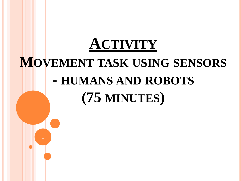# **ACTIVITY MOVEMENT TASK USING SENSORS - HUMANS AND ROBOTS (75 MINUTES)**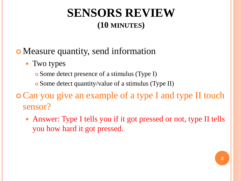### **SENSORS REVIEW (10 MINUTES)**

#### Measure quantity, send information

- Two types
	- Some detect presence of a stimulus (Type I)
	- Some detect quantity/value of a stimulus (Type II)
- Can you give an example of a type I and type II touch sensor?
	- Answer: Type I tells you if it got pressed or not, type II tells you how hard it got pressed.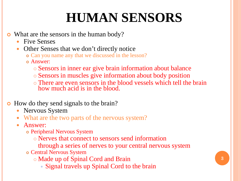# **HUMAN SENSORS**

- What are the sensors in the human body?
	- Five Senses
	- Other Senses that we don't directly notice
		- Can you name any that we discussed in the lesson?
		- Answer:
			- Sensors in inner ear give brain information about balance
			- Sensors in muscles give information about body position
			- There are even sensors in the blood vessels which tell the brain how much acid is in the blood.
- How do they send signals to the brain?
	- Nervous System
	- What are the two parts of the nervous system?
	- Answer:
		- Peripheral Nervous System
			- Nerves that connect to sensors send information
			- through a series of nerves to your central nervous system
		- Central Nervous System
			- Made up of Spinal Cord and Brain
				- Signal travels up Spinal Cord to the brain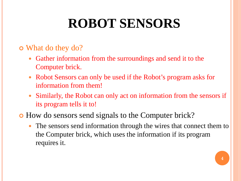# **ROBOT SENSORS**

#### What do they do?

- Gather information from the surroundings and send it to the Computer brick.
- Robot Sensors can only be used if the Robot's program asks for information from them!
- Similarly, the Robot can only act on information from the sensors if its program tells it to!
- How do sensors send signals to the Computer brick?
	- The sensors send information through the wires that connect them to the Computer brick, which uses the information if its program requires it.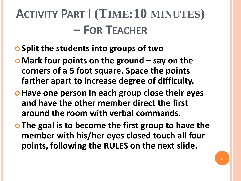# **ACTIVITY PART I (TIME:10 MINUTES) – FOR TEACHER**

- **Split the students into groups of two**
- **Mark four points on the ground – say on the corners of a 5 foot square. Space the points farther apart to increase degree of difficulty.**
- $\bullet$  **Have one person in each group close their eyes and have the other member direct the first around the room with verbal commands.**
- **The goal is to become the first group to have the member with his/her eyes closed touch all four points, following the RULES on the next slide.**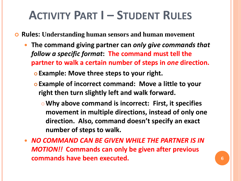## **ACTIVITY PART I – STUDENT RULES**

**Rules: Understanding human sensors and human movement** 

- **The command giving partner can** *only give commands that follow a specific format***: The command must tell the partner to walk a certain number of steps in** *one* **direction.** 
	- **Example: Move three steps to your right.**
	- **Example of incorrect command: Move a little to your right then turn slightly left and walk forward.**
		- **Why above command is incorrect: First, it specifies movement in multiple directions, instead of only one direction. Also, command doesn't specify an exact number of steps to walk.**
- *NO COMMAND CAN BE GIVEN WHILE THE PARTNER IS IN MOTION!!* **Commands can only be given after previous commands have been executed. <sup>6</sup>**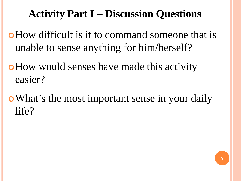### **Activity Part I – Discussion Questions**

- How difficult is it to command someone that is unable to sense anything for him/herself?
- How would senses have made this activity easier?
- What's the most important sense in your daily life?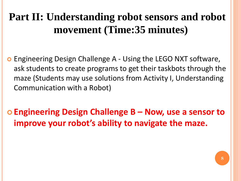## **Part II: Understanding robot sensors and robot movement (Time:35 minutes)**

 Engineering Design Challenge A - Using the LEGO NXT software, ask students to create programs to get their taskbots through the maze (Students may use solutions from Activity I, Understanding Communication with a Robot)

 **Engineering Design Challenge B – Now, use a sensor to improve your robot's ability to navigate the maze.**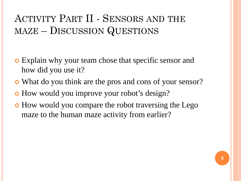#### ACTIVITY PART II - SENSORS AND THE MAZE – DISCUSSION QUESTIONS

- Explain why your team chose that specific sensor and how did you use it?
- What do you think are the pros and cons of your sensor?
- How would you improve your robot's design?
- How would you compare the robot traversing the Lego maze to the human maze activity from earlier?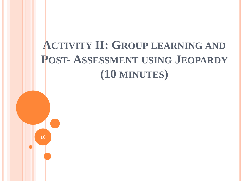## **ACTIVITY II: GROUP LEARNING AND POST- ASSESSMENT USING JEOPARDY (10 MINUTES)**

**10**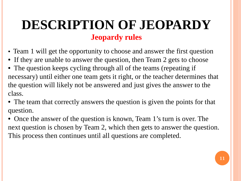## **DESCRIPTION OF JEOPARDY Jeopardy rules**

- Team 1 will get the opportunity to choose and answer the first question
- If they are unable to answer the question, then Team 2 gets to choose
- The question keeps cycling through all of the teams (repeating if necessary) until either one team gets it right, or the teacher determines that the question will likely not be answered and just gives the answer to the class.
- The team that correctly answers the question is given the points for that question.
- Once the answer of the question is known, Team 1's turn is over. The next question is chosen by Team 2, which then gets to answer the question. This process then continues until all questions are completed.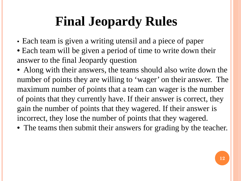# **Final Jeopardy Rules**

- Each team is given a writing utensil and a piece of paper
- Each team will be given a period of time to write down their answer to the final Jeopardy question
- Along with their answers, the teams should also write down the number of points they are willing to 'wager' on their answer. The maximum number of points that a team can wager is the number of points that they currently have. If their answer is correct, they gain the number of points that they wagered. If their answer is incorrect, they lose the number of points that they wagered.
- The teams then submit their answers for grading by the teacher.